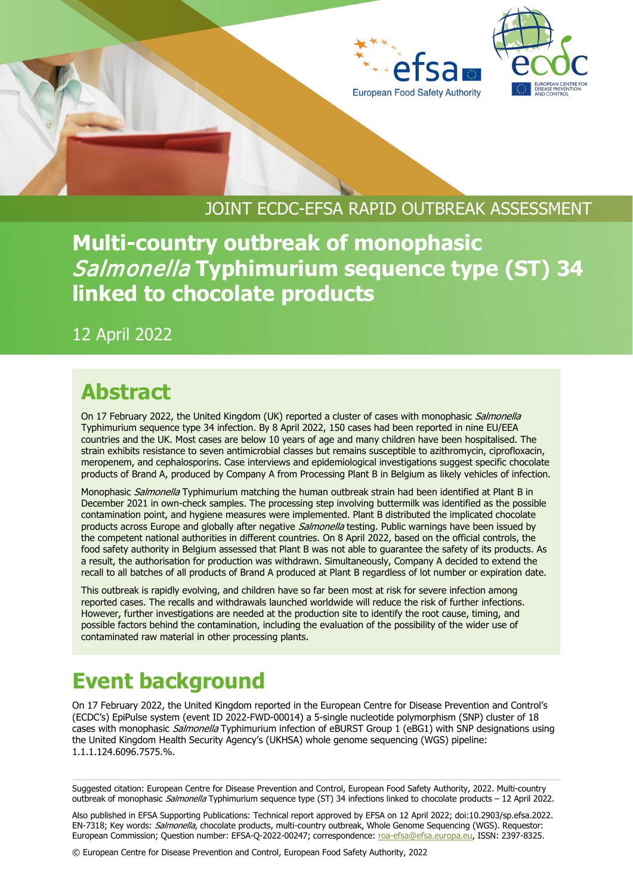



### JOINT ECDC-EFSA RAPID OUTBREAK ASSESSMENT

**Multi-country outbreak of monophasic**  Salmonella **Typhimurium sequence type (ST) 34 linked to chocolate products**

12 April 2022

# **Abstract**

On 17 February 2022, the United Kingdom (UK) reported a cluster of cases with monophasic Salmonella Typhimurium sequence type 34 infection. By 8 April 2022, 150 cases had been reported in nine EU/EEA countries and the UK. Most cases are below 10 years of age and many children have been hospitalised. The strain exhibits resistance to seven antimicrobial classes but remains susceptible to azithromycin, ciprofloxacin, meropenem, and cephalosporins. Case interviews and epidemiological investigations suggest specific chocolate products of Brand A, produced by Company A from Processing Plant B in Belgium as likely vehicles of infection.

Monophasic *Salmonella* Typhimurium matching the human outbreak strain had been identified at Plant B in December 2021 in own-check samples. The processing step involving buttermilk was identified as the possible contamination point, and hygiene measures were implemented. Plant B distributed the implicated chocolate products across Europe and globally after negative *Salmonella* testing. Public warnings have been issued by the competent national authorities in different countries. On 8 April 2022, based on the official controls, the food safety authority in Belgium assessed that Plant B was not able to guarantee the safety of its products. As a result, the authorisation for production was withdrawn. Simultaneously, Company A decided to extend the recall to all batches of all products of Brand A produced at Plant B regardless of lot number or expiration date.

This outbreak is rapidly evolving, and children have so far been most at risk for severe infection among reported cases. The recalls and withdrawals launched worldwide will reduce the risk of further infections. However, further investigations are needed at the production site to identify the root cause, timing, and possible factors behind the contamination, including the evaluation of the possibility of the wider use of contaminated raw material in other processing plants.

# **Event background**

On 17 February 2022, the United Kingdom reported in the European Centre for Disease Prevention and Control's (ECDC's) EpiPulse system (event ID 2022-FWD-00014) a 5-single nucleotide polymorphism (SNP) cluster of 18 cases with monophasic Salmonella Typhimurium infection of eBURST Group 1 (eBG1) with SNP designations using the United Kingdom Health Security Agency's (UKHSA) whole genome sequencing (WGS) pipeline: 1.1.1.124.6096.7575.%.

Suggested citation: European Centre for Disease Prevention and Control, European Food Safety Authority, 2022. Multi-country outbreak of monophasic Salmonella Typhimurium sequence type (ST) 34 infections linked to chocolate products – 12 April 2022.

Also published in EFSA Supporting Publications: Technical report approved by EFSA on 12 April 2022; doi:10.2903/sp.efsa.2022. EN-7318; Key words: Salmonella, chocolate products, multi-country outbreak, Whole Genome Sequencing (WGS). Requestor: European Commission; Question number: EFSA-Q-2022-00247; correspondence: [roa-efsa@efsa.europa.eu,](mailto:roa-efsa@efsa.europa.eu) ISSN: 2397-8325.

© European Centre for Disease Prevention and Control, European Food Safety Authority, 2022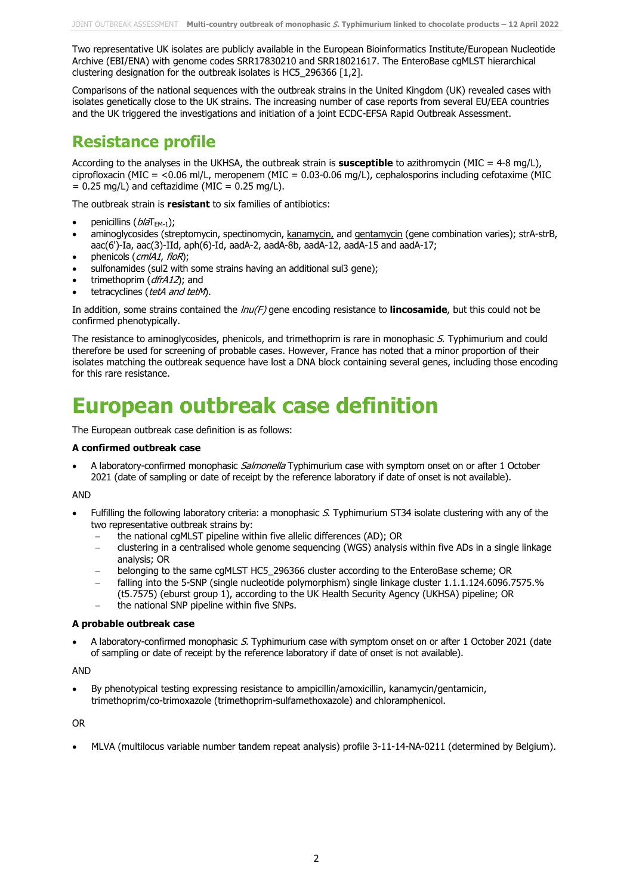Two representative UK isolates are publicly available in the European Bioinformatics Institute/European Nucleotide Archive (EBI/ENA) with genome codes SRR17830210 and SRR18021617. The EnteroBase cgMLST hierarchical clustering designation for the outbreak isolates is HC5\_296366 [1,2].

Comparisons of the national sequences with the outbreak strains in the United Kingdom (UK) revealed cases with isolates genetically close to the UK strains. The increasing number of case reports from several EU/EEA countries and the UK triggered the investigations and initiation of a joint ECDC-EFSA Rapid Outbreak Assessment.

#### **Resistance profile**

According to the analyses in the UKHSA, the outbreak strain is **susceptible** to azithromycin (MIC = 4-8 mg/L), ciprofloxacin (MIC = <0.06 ml/L, meropenem (MIC = 0.03-0.06 mg/L), cephalosporins including cefotaxime (MIC  $= 0.25$  mg/L) and ceftazidime (MIC  $= 0.25$  mg/L).

The outbreak strain is **resistant** to six families of antibiotics:

- penicillins  $(b/aT<sub>EM-1</sub>)$ ;
- aminoglycosides (streptomycin, spectinomycin, kanamycin, and gentamycin (gene combination varies); strA-strB, aac(6')-Ia, aac(3)-IId, aph(6)-Id, aadA-2, aadA-8b, aadA-12, aadA-15 and aadA-17;
- phenicols (cmlA1, floR);
- sulfonamides (sul2 with some strains having an additional sul3 gene);
- trimethoprim (dfrA12); and
- tetracyclines (tetA and tetM).

In addition, some strains contained the  $lnu(F)$  gene encoding resistance to **lincosamide**, but this could not be confirmed phenotypically.

The resistance to aminoglycosides, phenicols, and trimethoprim is rare in monophasic S. Typhimurium and could therefore be used for screening of probable cases. However, France has noted that a minor proportion of their isolates matching the outbreak sequence have lost a DNA block containing several genes, including those encoding for this rare resistance.

# **European outbreak case definition**

The European outbreak case definition is as follows:

#### **A confirmed outbreak case**

A laboratory-confirmed monophasic Salmonella Typhimurium case with symptom onset on or after 1 October 2021 (date of sampling or date of receipt by the reference laboratory if date of onset is not available).

#### AND

- Fulfilling the following laboratory criteria: a monophasic S. Typhimurium ST34 isolate clustering with any of the two representative outbreak strains by:
	- the national cgMLST pipeline within five allelic differences (AD); OR
	- − clustering in a centralised whole genome sequencing (WGS) analysis within five ADs in a single linkage analysis; OR
	- − belonging to the same cgMLST HC5\_296366 cluster according to the EnteroBase scheme; OR
	- − falling into the 5-SNP (single nucleotide polymorphism) single linkage cluster 1.1.1.124.6096.7575.%
	- (t5.7575) (eburst group 1), according to the UK Health Security Agency (UKHSA) pipeline; OR
	- the national SNP pipeline within five SNPs.

#### **A probable outbreak case**

A laboratory-confirmed monophasic S. Typhimurium case with symptom onset on or after 1 October 2021 (date of sampling or date of receipt by the reference laboratory if date of onset is not available).

AND

• By phenotypical testing expressing resistance to ampicillin/amoxicillin, kanamycin/gentamicin, trimethoprim/co-trimoxazole (trimethoprim-sulfamethoxazole) and chloramphenicol.

OR

• MLVA (multilocus variable number tandem repeat analysis) profile 3-11-14-NA-0211 (determined by Belgium).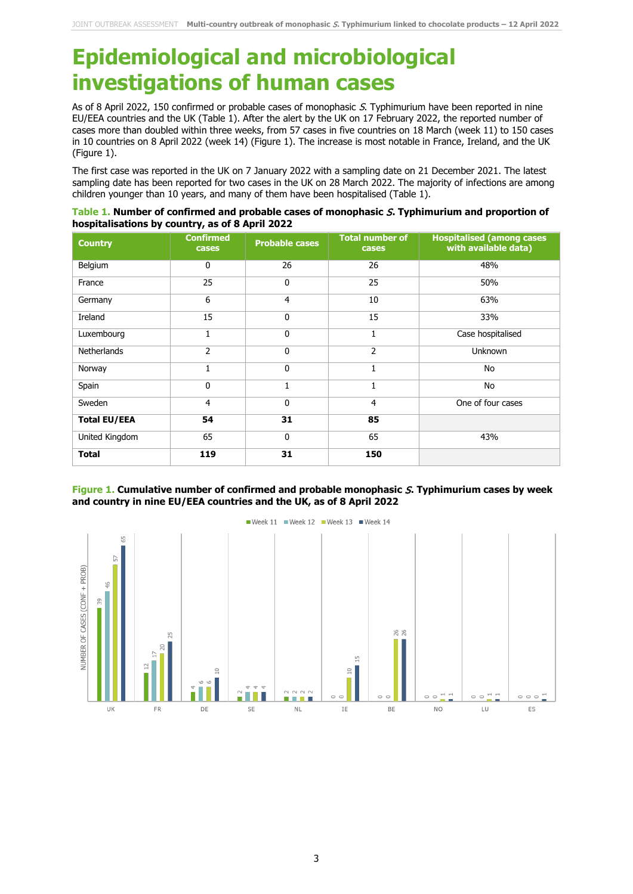# **Epidemiological and microbiological investigations of human cases**

As of 8 April 2022, 150 confirmed or probable cases of monophasic S. Typhimurium have been reported in nine EU/EEA countries and the UK (Table 1). After the alert by the UK on 17 February 2022, the reported number of cases more than doubled within three weeks, from 57 cases in five countries on 18 March (week 11) to 150 cases in 10 countries on 8 April 2022 (week 14) (Figure 1). The increase is most notable in France, Ireland, and the UK (Figure 1).

The first case was reported in the UK on 7 January 2022 with a sampling date on 21 December 2021. The latest sampling date has been reported for two cases in the UK on 28 March 2022. The majority of infections are among children younger than 10 years, and many of them have been hospitalised (Table 1).

| Table 1. Number of confirmed and probable cases of monophasic S. Typhimurium and proportion of |
|------------------------------------------------------------------------------------------------|
| hospitalisations by country, as of 8 April 2022                                                |

| <b>Country</b>      | <b>Confirmed</b><br>cases | <b>Probable cases</b> | <b>Total number of</b><br>cases | <b>Hospitalised (among cases)</b><br>with available data) |
|---------------------|---------------------------|-----------------------|---------------------------------|-----------------------------------------------------------|
| Belgium             | $\mathbf 0$               | 26                    | 26                              | 48%                                                       |
| France              | 25                        | $\mathbf 0$           | 25                              | 50%                                                       |
| Germany             | 6                         | 4                     | 10                              | 63%                                                       |
| Ireland             | 15                        | $\mathbf 0$           | 15                              | 33%                                                       |
| Luxembourg          | 1                         | $\mathbf{0}$          | 1                               | Case hospitalised                                         |
| <b>Netherlands</b>  | $\overline{2}$            | $\mathbf{0}$          | 2                               | <b>Unknown</b>                                            |
| Norway              | 1                         | $\mathbf 0$           | 1                               | No                                                        |
| Spain               | $\mathbf 0$               |                       | 1                               | No                                                        |
| Sweden              | 4                         | $\mathbf{0}$          | 4                               | One of four cases                                         |
| <b>Total EU/EEA</b> | 54                        | 31                    | 85                              |                                                           |
| United Kingdom      | 65                        | $\mathbf 0$           | 65                              | 43%                                                       |
| <b>Total</b>        | 119                       | 31                    | 150                             |                                                           |

#### **Figure 1. Cumulative number of confirmed and probable monophasic** S**. Typhimurium cases by week and country in nine EU/EEA countries and the UK, as of 8 April 2022**



Week 11 Week 12 Week 13 Week 14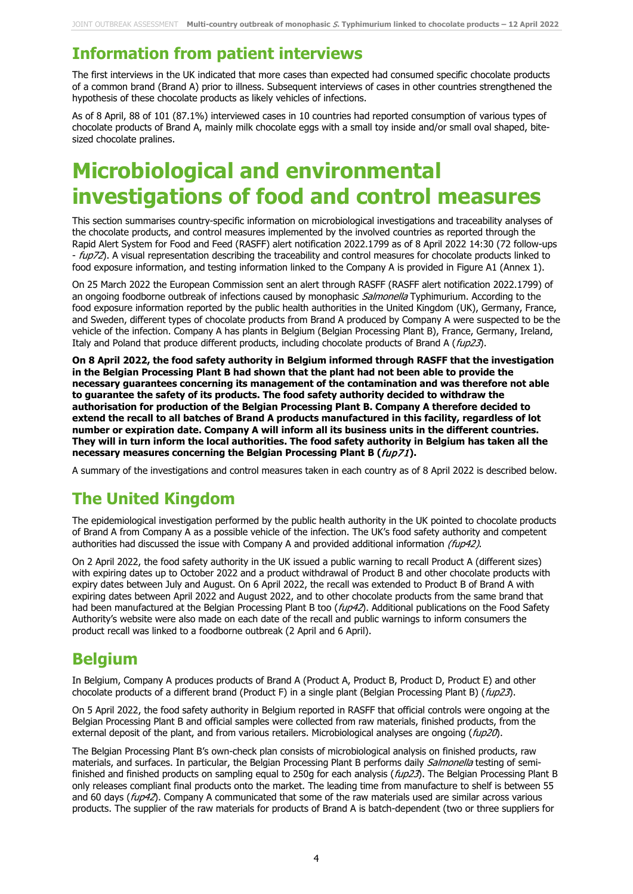### **Information from patient interviews**

The first interviews in the UK indicated that more cases than expected had consumed specific chocolate products of a common brand (Brand A) prior to illness. Subsequent interviews of cases in other countries strengthened the hypothesis of these chocolate products as likely vehicles of infections.

As of 8 April, 88 of 101 (87.1%) interviewed cases in 10 countries had reported consumption of various types of chocolate products of Brand A, mainly milk chocolate eggs with a small toy inside and/or small oval shaped, bitesized chocolate pralines.

# **Microbiological and environmental investigations of food and control measures**

This section summarises country-specific information on microbiological investigations and traceability analyses of the chocolate products, and control measures implemented by the involved countries as reported through the Rapid Alert System for Food and Feed (RASFF) alert notification 2022.1799 as of 8 April 2022 14:30 (72 follow-ups - fup72). A visual representation describing the traceability and control measures for chocolate products linked to food exposure information, and testing information linked to the Company A is provided in Figure A1 (Annex 1).

On 25 March 2022 the European Commission sent an alert through RASFF (RASFF alert notification 2022.1799) of an ongoing foodborne outbreak of infections caused by monophasic Salmonella Typhimurium. According to the food exposure information reported by the public health authorities in the United Kingdom (UK), Germany, France, and Sweden, different types of chocolate products from Brand A produced by Company A were suspected to be the vehicle of the infection. Company A has plants in Belgium (Belgian Processing Plant B), France, Germany, Ireland, Italy and Poland that produce different products, including chocolate products of Brand A (fup23).

**On 8 April 2022, the food safety authority in Belgium informed through RASFF that the investigation in the Belgian Processing Plant B had shown that the plant had not been able to provide the necessary guarantees concerning its management of the contamination and was therefore not able to guarantee the safety of its products. The food safety authority decided to withdraw the authorisation for production of the Belgian Processing Plant B. Company A therefore decided to extend the recall to all batches of Brand A products manufactured in this facility, regardless of lot number or expiration date. Company A will inform all its business units in the different countries. They will in turn inform the local authorities. The food safety authority in Belgium has taken all the necessary measures concerning the Belgian Processing Plant B (**fup71**).**

A summary of the investigations and control measures taken in each country as of 8 April 2022 is described below.

### **The United Kingdom**

The epidemiological investigation performed by the public health authority in the UK pointed to chocolate products of Brand A from Company A as a possible vehicle of the infection. The UK's food safety authority and competent authorities had discussed the issue with Company A and provided additional information  $(f\omega p42)$ .

On 2 April 2022, the food safety authority in the UK issued a public warning to recall Product A (different sizes) with expiring dates up to October 2022 and a product withdrawal of Product B and other chocolate products with expiry dates between July and August. On 6 April 2022, the recall was extended to Product B of Brand A with expiring dates between April 2022 and August 2022, and to other chocolate products from the same brand that had been manufactured at the Belgian Processing Plant B too (fup42). Additional publications on the Food Safety Authority's website were also made on each date of the recall and public warnings to inform consumers the product recall was linked to a foodborne outbreak (2 April and 6 April).

### **Belgium**

In Belgium, Company A produces products of Brand A (Product A, Product B, Product D, Product E) and other chocolate products of a different brand (Product F) in a single plant (Belgian Processing Plant B) (fup23).

On 5 April 2022, the food safety authority in Belgium reported in RASFF that official controls were ongoing at the Belgian Processing Plant B and official samples were collected from raw materials, finished products, from the external deposit of the plant, and from various retailers. Microbiological analyses are ongoing (fup20).

The Belgian Processing Plant B's own-check plan consists of microbiological analysis on finished products, raw materials, and surfaces. In particular, the Belgian Processing Plant B performs daily Salmonella testing of semifinished and finished products on sampling equal to 250g for each analysis (*fup23*). The Belgian Processing Plant B only releases compliant final products onto the market. The leading time from manufacture to shelf is between 55 and 60 days ( $fup42$ ). Company A communicated that some of the raw materials used are similar across various products. The supplier of the raw materials for products of Brand A is batch-dependent (two or three suppliers for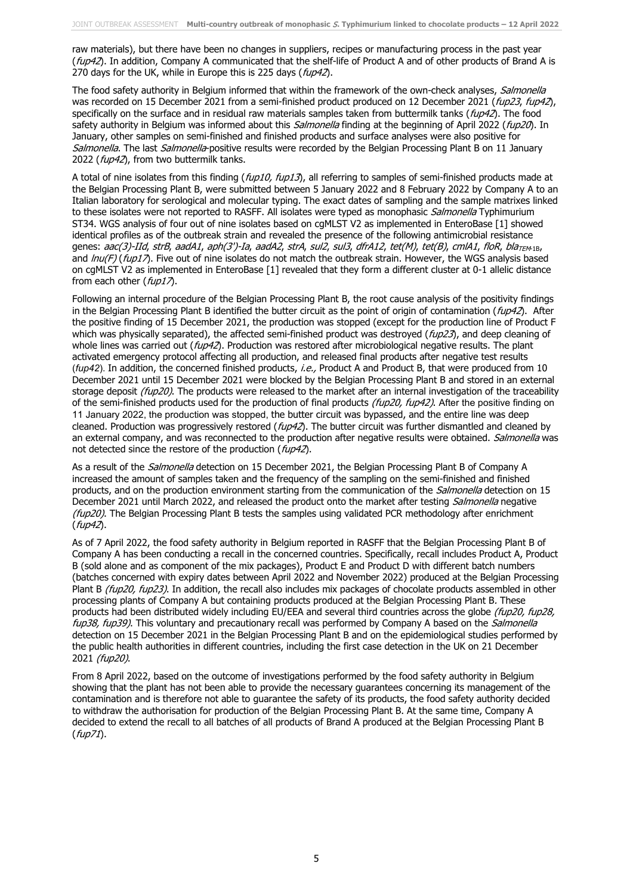raw materials), but there have been no changes in suppliers, recipes or manufacturing process in the past year (fup42). In addition, Company A communicated that the shelf-life of Product A and of other products of Brand A is 270 days for the UK, while in Europe this is 225 days (fup42).

The food safety authority in Belgium informed that within the framework of the own-check analyses, Salmonella was recorded on 15 December 2021 from a semi-finished product produced on 12 December 2021 (fup23, fup42), specifically on the surface and in residual raw materials samples taken from buttermilk tanks (fup42). The food safety authority in Belgium was informed about this *Salmonella* finding at the beginning of April 2022 (fup20). In January, other samples on semi-finished and finished products and surface analyses were also positive for Salmonella. The last Salmonella-positive results were recorded by the Belgian Processing Plant B on 11 January 2022 (fup42), from two buttermilk tanks.

A total of nine isolates from this finding (fup10, fup13), all referring to samples of semi-finished products made at the Belgian Processing Plant B, were submitted between 5 January 2022 and 8 February 2022 by Company A to an Italian laboratory for serological and molecular typing. The exact dates of sampling and the sample matrixes linked to these isolates were not reported to RASFF. All isolates were typed as monophasic Salmonella Typhimurium ST34. WGS analysis of four out of nine isolates based on cgMLST V2 as implemented in EnteroBase [1] showed identical profiles as of the outbreak strain and revealed the presence of the following antimicrobial resistance genes: aac(3)-IId, strB, aadA1, aph(3')-Ia, aadA2, strA, sul2, sul3, dfrA12, tet(M), tet(B), cmlA1, floR, bla<sub>TEM-1B</sub>, and  $lnu(F)$  (fup17). Five out of nine isolates do not match the outbreak strain. However, the WGS analysis based on cgMLST V2 as implemented in EnteroBase [1] revealed that they form a different cluster at 0-1 allelic distance from each other  $(fup17)$ .

Following an internal procedure of the Belgian Processing Plant B, the root cause analysis of the positivity findings in the Belgian Processing Plant B identified the butter circuit as the point of origin of contamination ( $f\omega p42$ ). After the positive finding of 15 December 2021, the production was stopped (except for the production line of Product F which was physically separated), the affected semi-finished product was destroyed (fup23), and deep cleaning of whole lines was carried out ( $f\omega p42$ ). Production was restored after microbiological negative results. The plant activated emergency protocol affecting all production, and released final products after negative test results (*fup42*). In addition, the concerned finished products, i.e., Product A and Product B, that were produced from 10 December 2021 until 15 December 2021 were blocked by the Belgian Processing Plant B and stored in an external storage deposit (fup20). The products were released to the market after an internal investigation of the traceability of the semi-finished products used for the production of final products ( $fup20$ ,  $fup42$ ). After the positive finding on 11 January 2022, the production was stopped, the butter circuit was bypassed, and the entire line was deep cleaned. Production was progressively restored ( $f\psi$ 42). The butter circuit was further dismantled and cleaned by an external company, and was reconnected to the production after negative results were obtained. Salmonella was not detected since the restore of the production ( $f\omega p42$ ).

As a result of the *Salmonella* detection on 15 December 2021, the Belgian Processing Plant B of Company A increased the amount of samples taken and the frequency of the sampling on the semi-finished and finished products, and on the production environment starting from the communication of the *Salmonella* detection on 15 December 2021 until March 2022, and released the product onto the market after testing Salmonella negative (fup20). The Belgian Processing Plant B tests the samples using validated PCR methodology after enrichment (fup42).

As of 7 April 2022, the food safety authority in Belgium reported in RASFF that the Belgian Processing Plant B of Company A has been conducting a recall in the concerned countries. Specifically, recall includes Product A, Product B (sold alone and as component of the mix packages), Product E and Product D with different batch numbers (batches concerned with expiry dates between April 2022 and November 2022) produced at the Belgian Processing Plant B (fup20, fup23). In addition, the recall also includes mix packages of chocolate products assembled in other processing plants of Company A but containing products produced at the Belgian Processing Plant B. These products had been distributed widely including EU/EEA and several third countries across the globe (fup20, fup28, fup38, fup39). This voluntary and precautionary recall was performed by Company A based on the Salmonella detection on 15 December 2021 in the Belgian Processing Plant B and on the epidemiological studies performed by the public health authorities in different countries, including the first case detection in the UK on 21 December 2021 (fup20).

From 8 April 2022, based on the outcome of investigations performed by the food safety authority in Belgium showing that the plant has not been able to provide the necessary guarantees concerning its management of the contamination and is therefore not able to guarantee the safety of its products, the food safety authority decided to withdraw the authorisation for production of the Belgian Processing Plant B. At the same time, Company A decided to extend the recall to all batches of all products of Brand A produced at the Belgian Processing Plant B (fup71).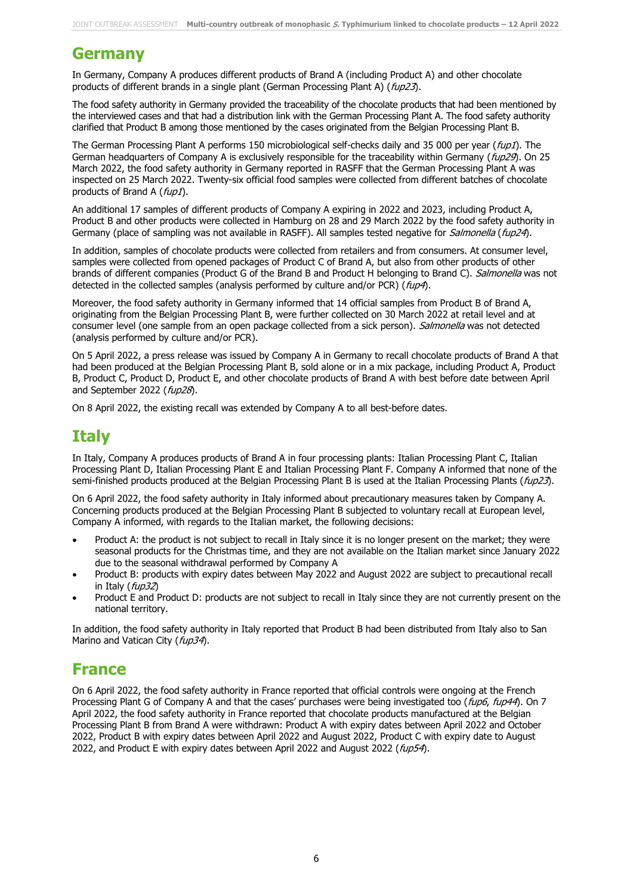### **Germany**

In Germany, Company A produces different products of Brand A (including Product A) and other chocolate products of different brands in a single plant (German Processing Plant A) ( $f\omega p23$ ).

The food safety authority in Germany provided the traceability of the chocolate products that had been mentioned by the interviewed cases and that had a distribution link with the German Processing Plant A. The food safety authority clarified that Product B among those mentioned by the cases originated from the Belgian Processing Plant B.

The German Processing Plant A performs 150 microbiological self-checks daily and 35 000 per year (fup1). The German headquarters of Company A is exclusively responsible for the traceability within Germany ( $fup29$ ). On 25 March 2022, the food safety authority in Germany reported in RASFF that the German Processing Plant A was inspected on 25 March 2022. Twenty-six official food samples were collected from different batches of chocolate products of Brand A (fup1).

An additional 17 samples of different products of Company A expiring in 2022 and 2023, including Product A, Product B and other products were collected in Hamburg on 28 and 29 March 2022 by the food safety authority in Germany (place of sampling was not available in RASFF). All samples tested negative for Salmonella (fup24).

In addition, samples of chocolate products were collected from retailers and from consumers. At consumer level, samples were collected from opened packages of Product C of Brand A, but also from other products of other brands of different companies (Product G of the Brand B and Product H belonging to Brand C). Salmonella was not detected in the collected samples (analysis performed by culture and/or PCR) (fup4).

Moreover, the food safety authority in Germany informed that 14 official samples from Product B of Brand A, originating from the Belgian Processing Plant B, were further collected on 30 March 2022 at retail level and at consumer level (one sample from an open package collected from a sick person). Salmonella was not detected (analysis performed by culture and/or PCR).

On 5 April 2022, a press release was issued by Company A in Germany to recall chocolate products of Brand A that had been produced at the Belgian Processing Plant B, sold alone or in a mix package, including Product A, Product B, Product C, Product D, Product E, and other chocolate products of Brand A with best before date between April and September 2022 (fup28).

On 8 April 2022, the existing recall was extended by Company A to all best-before dates.

### **Italy**

In Italy, Company A produces products of Brand A in four processing plants: Italian Processing Plant C, Italian Processing Plant D, Italian Processing Plant E and Italian Processing Plant F. Company A informed that none of the semi-finished products produced at the Belgian Processing Plant B is used at the Italian Processing Plants (fup23).

On 6 April 2022, the food safety authority in Italy informed about precautionary measures taken by Company A. Concerning products produced at the Belgian Processing Plant B subjected to voluntary recall at European level, Company A informed, with regards to the Italian market, the following decisions:

- Product A: the product is not subject to recall in Italy since it is no longer present on the market; they were seasonal products for the Christmas time, and they are not available on the Italian market since January 2022 due to the seasonal withdrawal performed by Company A
- Product B: products with expiry dates between May 2022 and August 2022 are subject to precautional recall in Italy (fup32)
- Product E and Product D: products are not subject to recall in Italy since they are not currently present on the national territory.

In addition, the food safety authority in Italy reported that Product B had been distributed from Italy also to San Marino and Vatican City (fup34).

#### **France**

On 6 April 2022, the food safety authority in France reported that official controls were ongoing at the French Processing Plant G of Company A and that the cases' purchases were being investigated too (fup6, fup44). On 7 April 2022, the food safety authority in France reported that chocolate products manufactured at the Belgian Processing Plant B from Brand A were withdrawn: Product A with expiry dates between April 2022 and October 2022, Product B with expiry dates between April 2022 and August 2022, Product C with expiry date to August 2022, and Product E with expiry dates between April 2022 and August 2022 (fup54).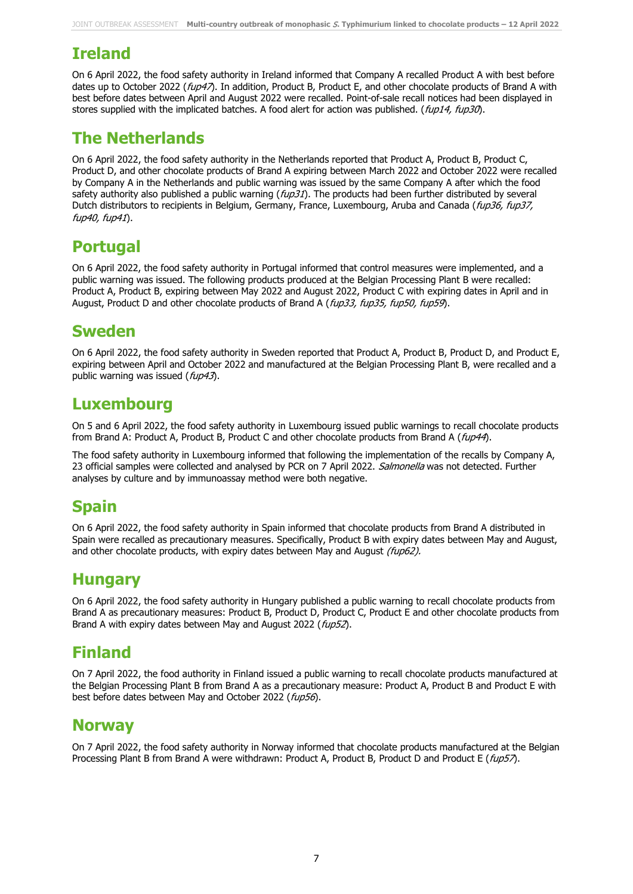## **Ireland**

On 6 April 2022, the food safety authority in Ireland informed that Company A recalled Product A with best before dates up to October 2022 (fup47). In addition, Product B, Product E, and other chocolate products of Brand A with best before dates between April and August 2022 were recalled. Point-of-sale recall notices had been displayed in stores supplied with the implicated batches. A food alert for action was published. (fup14, fup30).

## **The Netherlands**

On 6 April 2022, the food safety authority in the Netherlands reported that Product A, Product B, Product C, Product D, and other chocolate products of Brand A expiring between March 2022 and October 2022 were recalled by Company A in the Netherlands and public warning was issued by the same Company A after which the food safety authority also published a public warning  $(f\omega\beta1)$ . The products had been further distributed by several Dutch distributors to recipients in Belgium, Germany, France, Luxembourg, Aruba and Canada (fup36, fup37, fup40, fup41).

## **Portugal**

On 6 April 2022, the food safety authority in Portugal informed that control measures were implemented, and a public warning was issued. The following products produced at the Belgian Processing Plant B were recalled: Product A, Product B, expiring between May 2022 and August 2022, Product C with expiring dates in April and in August, Product D and other chocolate products of Brand A (fup33, fup35, fup50, fup59).

### **Sweden**

On 6 April 2022, the food safety authority in Sweden reported that Product A, Product B, Product D, and Product E, expiring between April and October 2022 and manufactured at the Belgian Processing Plant B, were recalled and a public warning was issued (fup43).

### **Luxembourg**

On 5 and 6 April 2022, the food safety authority in Luxembourg issued public warnings to recall chocolate products from Brand A: Product A, Product B, Product C and other chocolate products from Brand A (fup44).

The food safety authority in Luxembourg informed that following the implementation of the recalls by Company A, 23 official samples were collected and analysed by PCR on 7 April 2022. Salmonella was not detected. Further analyses by culture and by immunoassay method were both negative.

## **Spain**

On 6 April 2022, the food safety authority in Spain informed that chocolate products from Brand A distributed in Spain were recalled as precautionary measures. Specifically, Product B with expiry dates between May and August, and other chocolate products, with expiry dates between May and August (fup62).

## **Hungary**

On 6 April 2022, the food safety authority in Hungary published a public warning to recall chocolate products from Brand A as precautionary measures: Product B, Product D, Product C, Product E and other chocolate products from Brand A with expiry dates between May and August 2022 (fup52).

## **Finland**

On 7 April 2022, the food authority in Finland issued a public warning to recall chocolate products manufactured at the Belgian Processing Plant B from Brand A as a precautionary measure: Product A, Product B and Product E with best before dates between May and October 2022 (fup56).

#### **Norway**

On 7 April 2022, the food safety authority in Norway informed that chocolate products manufactured at the Belgian Processing Plant B from Brand A were withdrawn: Product A, Product B, Product D and Product E (fup57).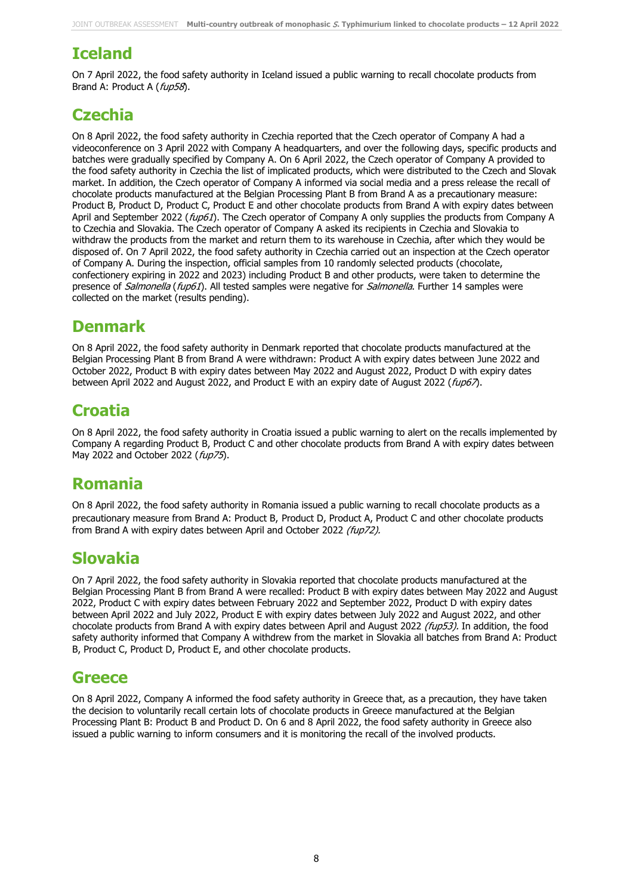## **Iceland**

On 7 April 2022, the food safety authority in Iceland issued a public warning to recall chocolate products from Brand A: Product A (fup58).

## **Czechia**

On 8 April 2022, the food safety authority in Czechia reported that the Czech operator of Company A had a videoconference on 3 April 2022 with Company A headquarters, and over the following days, specific products and batches were gradually specified by Company A. On 6 April 2022, the Czech operator of Company A provided to the food safety authority in Czechia the list of implicated products, which were distributed to the Czech and Slovak market. In addition, the Czech operator of Company A informed via social media and a press release the recall of chocolate products manufactured at the Belgian Processing Plant B from Brand A as a precautionary measure: Product B, Product D, Product C, Product E and other chocolate products from Brand A with expiry dates between April and September 2022 (*fup61*). The Czech operator of Company A only supplies the products from Company A to Czechia and Slovakia. The Czech operator of Company A asked its recipients in Czechia and Slovakia to withdraw the products from the market and return them to its warehouse in Czechia, after which they would be disposed of. On 7 April 2022, the food safety authority in Czechia carried out an inspection at the Czech operator of Company A. During the inspection, official samples from 10 randomly selected products (chocolate, confectionery expiring in 2022 and 2023) including Product B and other products, were taken to determine the presence of *Salmonella* (fup61). All tested samples were negative for *Salmonella*. Further 14 samples were collected on the market (results pending).

### **Denmark**

On 8 April 2022, the food safety authority in Denmark reported that chocolate products manufactured at the Belgian Processing Plant B from Brand A were withdrawn: Product A with expiry dates between June 2022 and October 2022, Product B with expiry dates between May 2022 and August 2022, Product D with expiry dates between April 2022 and August 2022, and Product E with an expiry date of August 2022 (fup67).

## **Croatia**

On 8 April 2022, the food safety authority in Croatia issued a public warning to alert on the recalls implemented by Company A regarding Product B, Product C and other chocolate products from Brand A with expiry dates between May 2022 and October 2022 (fup75).

## **Romania**

On 8 April 2022, the food safety authority in Romania issued a public warning to recall chocolate products as a precautionary measure from Brand A: Product B, Product D, Product A, Product C and other chocolate products from Brand A with expiry dates between April and October 2022 (fup72).

## **Slovakia**

On 7 April 2022, the food safety authority in Slovakia reported that chocolate products manufactured at the Belgian Processing Plant B from Brand A were recalled: Product B with expiry dates between May 2022 and August 2022, Product C with expiry dates between February 2022 and September 2022, Product D with expiry dates between April 2022 and July 2022, Product E with expiry dates between July 2022 and August 2022, and other chocolate products from Brand A with expiry dates between April and August 2022 (fup53). In addition, the food safety authority informed that Company A withdrew from the market in Slovakia all batches from Brand A: Product B, Product C, Product D, Product E, and other chocolate products.

### **Greece**

On 8 April 2022, Company A informed the food safety authority in Greece that, as a precaution, they have taken the decision to voluntarily recall certain lots of chocolate products in Greece manufactured at the Belgian Processing Plant B: Product B and Product D. On 6 and 8 April 2022, the food safety authority in Greece also issued a public warning to inform consumers and it is monitoring the recall of the involved products.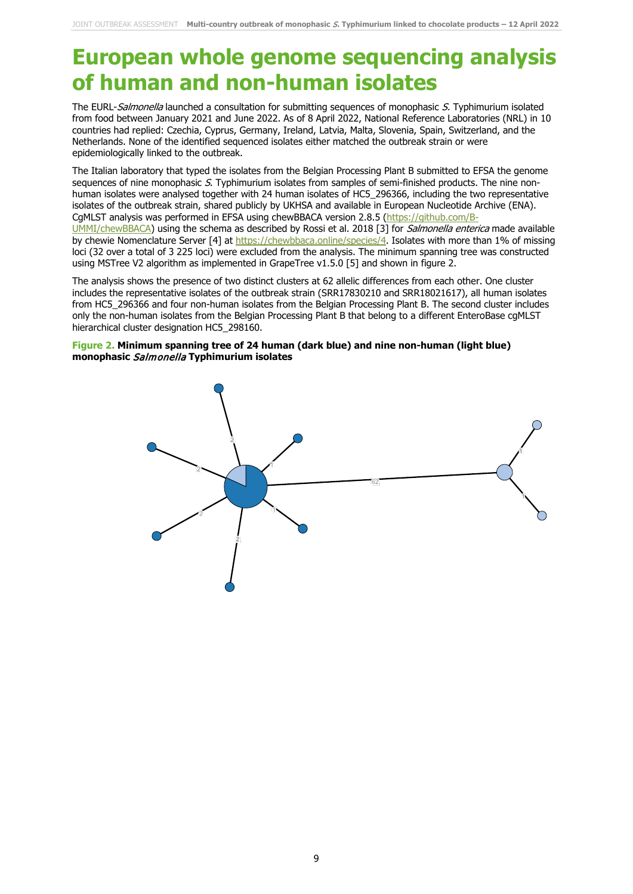## **European whole genome sequencing analysis of human and non-human isolates**

The EURL-Salmonella launched a consultation for submitting sequences of monophasic S. Typhimurium isolated from food between January 2021 and June 2022. As of 8 April 2022, National Reference Laboratories (NRL) in 10 countries had replied: Czechia, Cyprus, Germany, Ireland, Latvia, Malta, Slovenia, Spain, Switzerland, and the Netherlands. None of the identified sequenced isolates either matched the outbreak strain or were epidemiologically linked to the outbreak.

The Italian laboratory that typed the isolates from the Belgian Processing Plant B submitted to EFSA the genome sequences of nine monophasic S. Typhimurium isolates from samples of semi-finished products. The nine nonhuman isolates were analysed together with 24 human isolates of HC5\_296366, including the two representative isolates of the outbreak strain, shared publicly by UKHSA and available in European Nucleotide Archive (ENA). CgMLST analysis was performed in EFSA using chewBBACA version 2.8.5 [\(https://github.com/B-](https://github.com/B-UMMI/chewBBACA)[UMMI/chewBBACA\)](https://github.com/B-UMMI/chewBBACA) using the schema as described by Rossi et al. 2018 [3] for Salmonella enterica made available by chewie Nomenclature Server [4] at [https://chewbbaca.online/species/4.](https://chewbbaca.online/species/4) Isolates with more than 1% of missing loci (32 over a total of 3 225 loci) were excluded from the analysis. The minimum spanning tree was constructed using MSTree V2 algorithm as implemented in GrapeTree v1.5.0 [5] and shown in figure 2.

The analysis shows the presence of two distinct clusters at 62 allelic differences from each other. One cluster includes the representative isolates of the outbreak strain (SRR17830210 and SRR18021617), all human isolates from HC5\_296366 and four non-human isolates from the Belgian Processing Plant B. The second cluster includes only the non-human isolates from the Belgian Processing Plant B that belong to a different EnteroBase cgMLST hierarchical cluster designation HC5\_298160.

#### **Figure 2. Minimum spanning tree of 24 human (dark blue) and nine non-human (light blue) monophasic** Salmonella **Typhimurium isolates**

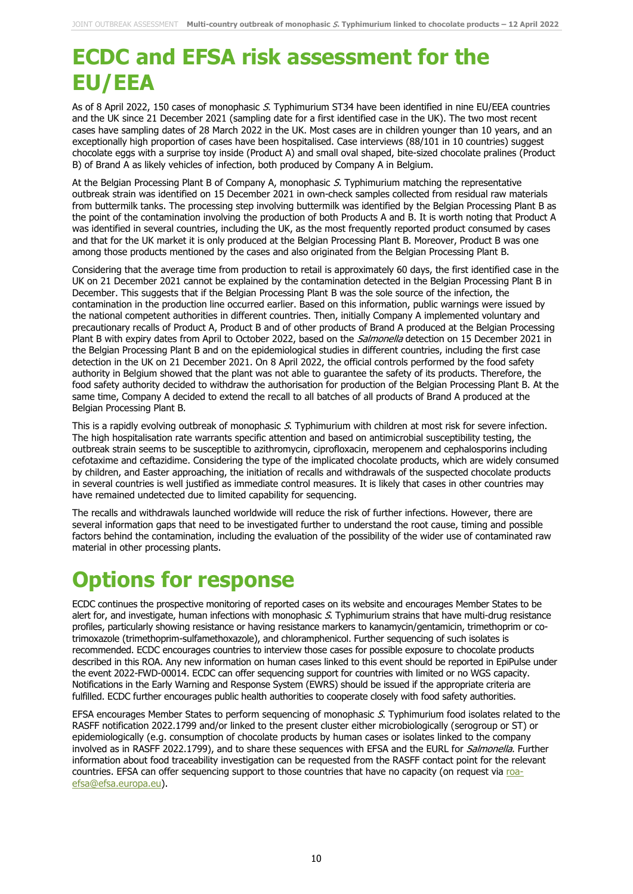# **ECDC and EFSA risk assessment for the EU/EEA**

As of 8 April 2022, 150 cases of monophasic S. Typhimurium ST34 have been identified in nine EU/EEA countries and the UK since 21 December 2021 (sampling date for a first identified case in the UK). The two most recent cases have sampling dates of 28 March 2022 in the UK. Most cases are in children younger than 10 years, and an exceptionally high proportion of cases have been hospitalised. Case interviews (88/101 in 10 countries) suggest chocolate eggs with a surprise toy inside (Product A) and small oval shaped, bite-sized chocolate pralines (Product B) of Brand A as likely vehicles of infection, both produced by Company A in Belgium.

At the Belgian Processing Plant B of Company A, monophasic S. Typhimurium matching the representative outbreak strain was identified on 15 December 2021 in own-check samples collected from residual raw materials from buttermilk tanks. The processing step involving buttermilk was identified by the Belgian Processing Plant B as the point of the contamination involving the production of both Products A and B. It is worth noting that Product A was identified in several countries, including the UK, as the most frequently reported product consumed by cases and that for the UK market it is only produced at the Belgian Processing Plant B. Moreover, Product B was one among those products mentioned by the cases and also originated from the Belgian Processing Plant B.

Considering that the average time from production to retail is approximately 60 days, the first identified case in the UK on 21 December 2021 cannot be explained by the contamination detected in the Belgian Processing Plant B in December. This suggests that if the Belgian Processing Plant B was the sole source of the infection, the contamination in the production line occurred earlier. Based on this information, public warnings were issued by the national competent authorities in different countries. Then, initially Company A implemented voluntary and precautionary recalls of Product A, Product B and of other products of Brand A produced at the Belgian Processing Plant B with expiry dates from April to October 2022, based on the *Salmonella* detection on 15 December 2021 in the Belgian Processing Plant B and on the epidemiological studies in different countries, including the first case detection in the UK on 21 December 2021. On 8 April 2022, the official controls performed by the food safety authority in Belgium showed that the plant was not able to guarantee the safety of its products. Therefore, the food safety authority decided to withdraw the authorisation for production of the Belgian Processing Plant B. At the same time, Company A decided to extend the recall to all batches of all products of Brand A produced at the Belgian Processing Plant B.

This is a rapidly evolving outbreak of monophasic S. Typhimurium with children at most risk for severe infection. The high hospitalisation rate warrants specific attention and based on antimicrobial susceptibility testing, the outbreak strain seems to be susceptible to azithromycin, ciprofloxacin, meropenem and cephalosporins including cefotaxime and ceftazidime. Considering the type of the implicated chocolate products, which are widely consumed by children, and Easter approaching, the initiation of recalls and withdrawals of the suspected chocolate products in several countries is well justified as immediate control measures. It is likely that cases in other countries may have remained undetected due to limited capability for sequencing.

The recalls and withdrawals launched worldwide will reduce the risk of further infections. However, there are several information gaps that need to be investigated further to understand the root cause, timing and possible factors behind the contamination, including the evaluation of the possibility of the wider use of contaminated raw material in other processing plants.

# **Options for response**

ECDC continues the prospective monitoring of reported cases on its website and encourages Member States to be alert for, and investigate, human infections with monophasic S. Typhimurium strains that have multi-drug resistance profiles, particularly showing resistance or having resistance markers to kanamycin/gentamicin, trimethoprim or cotrimoxazole (trimethoprim-sulfamethoxazole), and chloramphenicol. Further sequencing of such isolates is recommended. ECDC encourages countries to interview those cases for possible exposure to chocolate products described in this ROA. Any new information on human cases linked to this event should be reported in EpiPulse under the event 2022-FWD-00014. ECDC can offer sequencing support for countries with limited or no WGS capacity. Notifications in the Early Warning and Response System (EWRS) should be issued if the appropriate criteria are fulfilled. ECDC further encourages public health authorities to cooperate closely with food safety authorities.

EFSA encourages Member States to perform sequencing of monophasic  $S$ . Typhimurium food isolates related to the RASFF notification 2022.1799 and/or linked to the present cluster either microbiologically (serogroup or ST) or epidemiologically (e.g. consumption of chocolate products by human cases or isolates linked to the company involved as in RASFF 2022.1799), and to share these sequences with EFSA and the EURL for Salmonella. Further information about food traceability investigation can be requested from the RASFF contact point for the relevant countries. EFSA can offer sequencing support to those countries that have no capacity (on request via [roa](mailto:roa-efsa@efsa.europa.eu)[efsa@efsa.europa.eu\)](mailto:roa-efsa@efsa.europa.eu).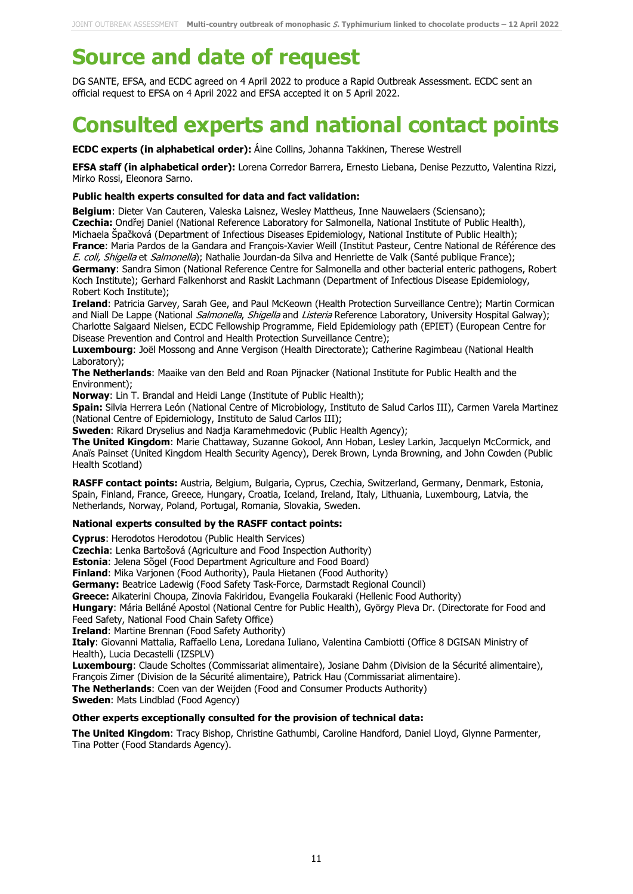# **Source and date of request**

DG SANTE, EFSA, and ECDC agreed on 4 April 2022 to produce a Rapid Outbreak Assessment. ECDC sent an official request to EFSA on 4 April 2022 and EFSA accepted it on 5 April 2022.

# **Consulted experts and national contact points**

**ECDC experts (in alphabetical order):** Áine Collins, Johanna Takkinen, Therese Westrell

**EFSA staff (in alphabetical order):** Lorena Corredor Barrera, Ernesto Liebana, Denise Pezzutto, Valentina Rizzi, Mirko Rossi, Eleonora Sarno.

#### **Public health experts consulted for data and fact validation:**

**Belgium**: Dieter Van Cauteren, Valeska Laisnez, Wesley Mattheus, Inne Nauwelaers (Sciensano); **Czechia:** Ondřej Daniel (National Reference Laboratory for Salmonella, National Institute of Public Health), Michaela Špačková (Department of Infectious Diseases Epidemiology, National Institute of Public Health); **France**: Maria Pardos de la Gandara and François-Xavier Weill (Institut Pasteur, Centre National de Référence des

E. coli, Shigella et Salmonella); Nathalie Jourdan-da Silva and Henriette de Valk (Santé publique France); **Germany**: Sandra Simon (National Reference Centre for Salmonella and other bacterial enteric pathogens, Robert Koch Institute); Gerhard Falkenhorst and Raskit Lachmann (Department of Infectious Disease Epidemiology, Robert Koch Institute);

**Ireland**: Patricia Garvey, Sarah Gee, and Paul McKeown (Health Protection Surveillance Centre); Martin Cormican and Niall De Lappe (National *Salmonella, Shigella* and Listeria Reference Laboratory, University Hospital Galway); Charlotte Salgaard Nielsen, ECDC Fellowship Programme, Field Epidemiology path (EPIET) (European Centre for Disease Prevention and Control and Health Protection Surveillance Centre);

**Luxembourg**: Joël Mossong and Anne Vergison (Health Directorate); Catherine Ragimbeau (National Health Laboratory);

**The Netherlands**: Maaike van den Beld and Roan Pijnacker (National Institute for Public Health and the Environment);

**Norway**: Lin T. Brandal and Heidi Lange (Institute of Public Health);

**Spain:** Silvia Herrera León (National Centre of Microbiology, Instituto de Salud Carlos III), Carmen Varela Martinez (National Centre of Epidemiology, Instituto de Salud Carlos III);

**Sweden**: Rikard Dryselius and Nadja Karamehmedovic (Public Health Agency);

**The United Kingdom**: Marie Chattaway, Suzanne Gokool, Ann Hoban, Lesley Larkin, Jacquelyn McCormick, and Anaïs Painset (United Kingdom Health Security Agency), Derek Brown, Lynda Browning, and John Cowden (Public Health Scotland)

**RASFF contact points:** Austria, Belgium, Bulgaria, Cyprus, Czechia, Switzerland, Germany, Denmark, Estonia, Spain, Finland, France, Greece, Hungary, Croatia, Iceland, Ireland, Italy, Lithuania, Luxembourg, Latvia, the Netherlands, Norway, Poland, Portugal, Romania, Slovakia, Sweden.

#### **National experts consulted by the RASFF contact points:**

**Cyprus**: Herodotos Herodotou (Public Health Services)

**Czechia**: Lenka Bartošová (Agriculture and Food Inspection Authority)

**Estonia**: Jelena Sõgel (Food Department Agriculture and Food Board)

**Finland**: Mika Varjonen (Food Authority), Paula Hietanen (Food Authority)

**Germany:** Beatrice Ladewig (Food Safety Task-Force, Darmstadt Regional Council)

**Greece:** Aikaterini Choupa, Zinovia Fakiridou, Evangelia Foukaraki (Hellenic Food Authority)

**Hungary**: Mária Belláné Apostol (National Centre for Public Health), György Pleva Dr. (Directorate for Food and Feed Safety, National Food Chain Safety Office)

**Ireland**: Martine Brennan (Food Safety Authority)

**Italy**: Giovanni Mattalia, Raffaello Lena, Loredana Iuliano, Valentina Cambiotti (Office 8 DGISAN Ministry of Health), Lucia Decastelli (IZSPLV)

**Luxembourg**: Claude Scholtes (Commissariat alimentaire), Josiane Dahm (Division de la Sécurité alimentaire), François Zimer (Division de la Sécurité alimentaire), Patrick Hau (Commissariat alimentaire).

**The Netherlands**: Coen van der Weijden (Food and Consumer Products Authority)

**Sweden**: Mats Lindblad (Food Agency)

#### **Other experts exceptionally consulted for the provision of technical data:**

**The United Kingdom**: Tracy Bishop, Christine Gathumbi, Caroline Handford, Daniel Lloyd, Glynne Parmenter, Tina Potter (Food Standards Agency).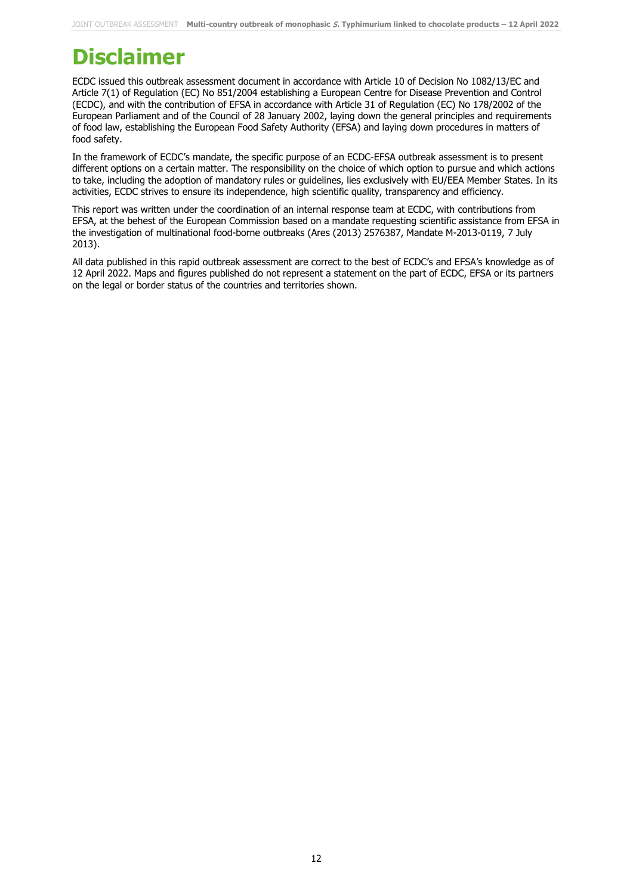# **Disclaimer**

ECDC issued this outbreak assessment document in accordance with Article 10 of Decision No 1082/13/EC and Article 7(1) of Regulation (EC) No 851/2004 establishing a European Centre for Disease Prevention and Control (ECDC), and with the contribution of EFSA in accordance with Article 31 of Regulation (EC) No 178/2002 of the European Parliament and of the Council of 28 January 2002, laying down the general principles and requirements of food law, establishing the European Food Safety Authority (EFSA) and laying down procedures in matters of food safety.

In the framework of ECDC's mandate, the specific purpose of an ECDC-EFSA outbreak assessment is to present different options on a certain matter. The responsibility on the choice of which option to pursue and which actions to take, including the adoption of mandatory rules or guidelines, lies exclusively with EU/EEA Member States. In its activities, ECDC strives to ensure its independence, high scientific quality, transparency and efficiency.

This report was written under the coordination of an internal response team at ECDC, with contributions from EFSA, at the behest of the European Commission based on a mandate requesting scientific assistance from EFSA in the investigation of multinational food-borne outbreaks (Ares (2013) 2576387, Mandate M-2013-0119, 7 July 2013).

All data published in this rapid outbreak assessment are correct to the best of ECDC's and EFSA's knowledge as of 12 April 2022. Maps and figures published do not represent a statement on the part of ECDC, EFSA or its partners on the legal or border status of the countries and territories shown.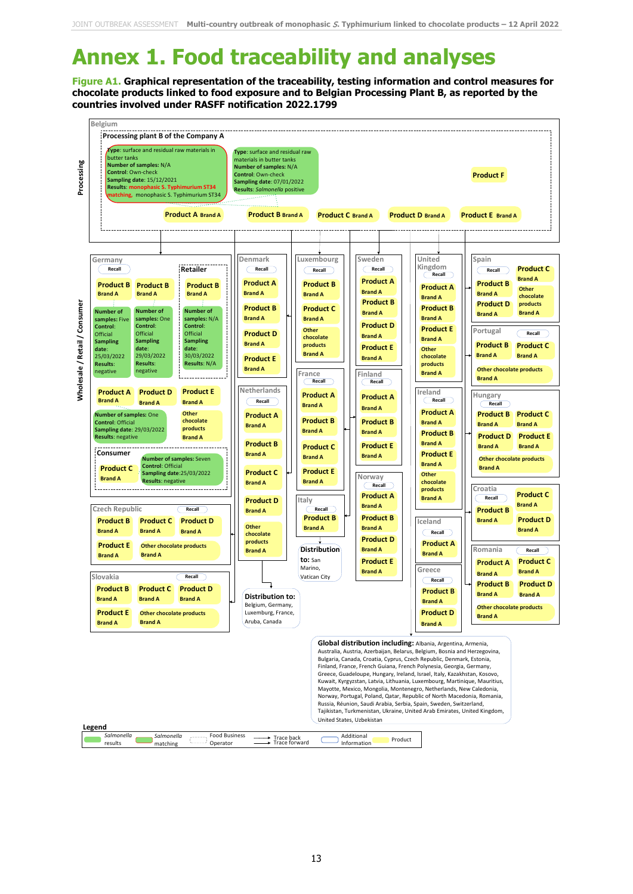# **Annex 1. Food traceability and analyses**

**Figure A1. Graphical representation of the traceability, testing information and control measures for chocolate products linked to food exposure and to Belgian Processing Plant B, as reported by the countries involved under RASFF notification 2022.1799**

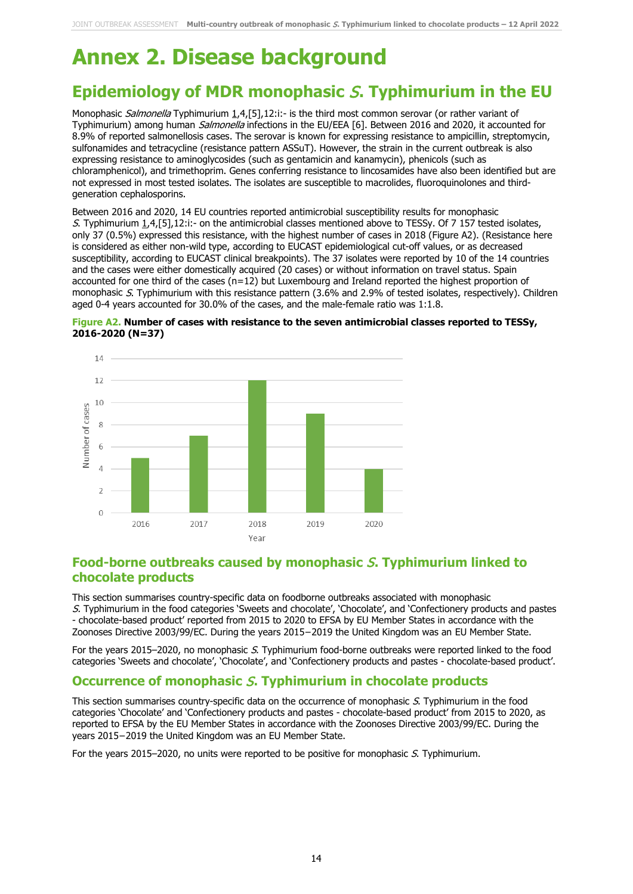# **Annex 2. Disease background**

### **Epidemiology of MDR monophasic** S**. Typhimurium in the EU**

Monophasic Salmonella Typhimurium 1,4,[5],12:i:- is the third most common serovar (or rather variant of Typhimurium) among human *Salmonella* infections in the EU/EEA [6]. Between 2016 and 2020, it accounted for 8.9% of reported salmonellosis cases. The serovar is known for expressing resistance to ampicillin, streptomycin, sulfonamides and tetracycline (resistance pattern ASSuT). However, the strain in the current outbreak is also expressing resistance to aminoglycosides (such as gentamicin and kanamycin), phenicols (such as chloramphenicol), and trimethoprim. Genes conferring resistance to lincosamides have also been identified but are not expressed in most tested isolates. The isolates are susceptible to macrolides, fluoroquinolones and thirdgeneration cephalosporins.

Between 2016 and 2020, 14 EU countries reported antimicrobial susceptibility results for monophasic S. Typhimurium 1,4,[5],12:i:- on the antimicrobial classes mentioned above to TESSy. Of 7 157 tested isolates, only 37 (0.5%) expressed this resistance, with the highest number of cases in 2018 (Figure A2). (Resistance here is considered as either non-wild type, according to EUCAST epidemiological cut-off values, or as decreased susceptibility, according to EUCAST clinical breakpoints). The 37 isolates were reported by 10 of the 14 countries and the cases were either domestically acquired (20 cases) or without information on travel status. Spain accounted for one third of the cases (n=12) but Luxembourg and Ireland reported the highest proportion of monophasic S. Typhimurium with this resistance pattern (3.6% and 2.9% of tested isolates, respectively). Children aged 0-4 years accounted for 30.0% of the cases, and the male-female ratio was 1:1.8.

#### **Figure A2. Number of cases with resistance to the seven antimicrobial classes reported to TESSy, 2016-2020 (N=37)**



#### **Food-borne outbreaks caused by monophasic** S**. Typhimurium linked to chocolate products**

This section summarises country-specific data on foodborne outbreaks associated with monophasic S. Typhimurium in the food categories 'Sweets and chocolate', 'Chocolate', and 'Confectionery products and pastes - chocolate-based product' reported from 2015 to 2020 to EFSA by EU Member States in accordance with the Zoonoses Directive 2003/99/EC. During the years 2015−2019 the United Kingdom was an EU Member State.

For the years 2015–2020, no monophasic S. Typhimurium food-borne outbreaks were reported linked to the food categories 'Sweets and chocolate', 'Chocolate', and 'Confectionery products and pastes - chocolate-based product'.

#### **Occurrence of monophasic** S**. Typhimurium in chocolate products**

This section summarises country-specific data on the occurrence of monophasic S. Typhimurium in the food categories 'Chocolate' and 'Confectionery products and pastes - chocolate-based product' from 2015 to 2020, as reported to EFSA by the EU Member States in accordance with the Zoonoses Directive 2003/99/EC. During the years 2015−2019 the United Kingdom was an EU Member State.

For the years 2015–2020, no units were reported to be positive for monophasic S. Typhimurium.